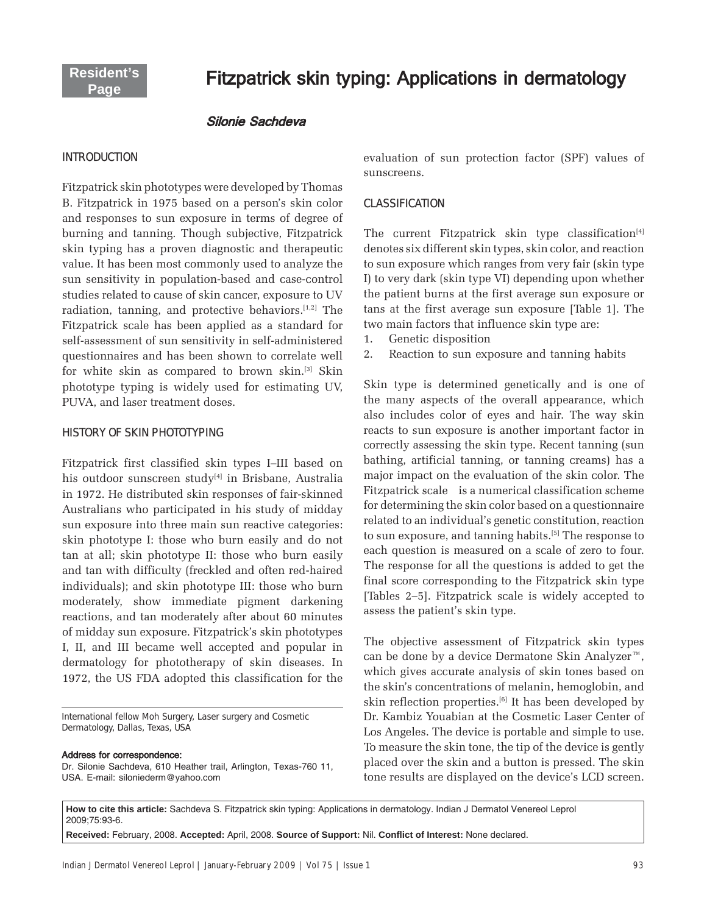# Fitzpatrick skin typing: Applications in dermatology

#### Silonie Sachdeva

#### **INTRODUCTION**

Fitzpatrick skin phototypes were developed by Thomas B. Fitzpatrick in 1975 based on a person's skin color and responses to sun exposure in terms of degree of burning and tanning. Though subjective, Fitzpatrick skin typing has a proven diagnostic and therapeutic value. It has been most commonly used to analyze the sun sensitivity in population-based and case-control studies related to cause of skin cancer, exposure to UV radiation, tanning, and protective behaviors.[1,2] The Fitzpatrick scale has been applied as a standard for self-assessment of sun sensitivity in self-administered questionnaires and has been shown to correlate well for white skin as compared to brown skin.[3] Skin phototype typing is widely used for estimating UV, PUVA, and laser treatment doses.

#### HISTORY OF SKIN PHOTOTYPING

Fitzpatrick first classified skin types I-III based on his outdoor sunscreen study<sup>[4]</sup> in Brisbane, Australia in 1972. He distributed skin responses of fair-skinned Australians who participated in his study of midday sun exposure into three main sun reactive categories: skin phototype I: those who burn easily and do not tan at all; skin phototype II: those who burn easily and tan with difficulty (freckled and often red-haired individuals); and skin phototype III: those who burn moderately, show immediate pigment darkening reactions, and tan moderately after about 60 minutes of midday sun exposure. Fitzpatrick's skin phototypes I, II, and III became well accepted and popular in dermatology for phototherapy of skin diseases. In 1972, the US FDA adopted this classification for the

International fellow Moh Surgery, Laser surgery and Cosmetic Dermatology, Dallas, Texas, USA

#### Address for correspondence:

Dr. Silonie Sachdeva, 610 Heather trail, Arlington, Texas-760 11, USA. E-mail: siloniederm@yahoo.com

evaluation of sun protection factor (SPF) values of sunscreens.

#### **CLASSIFICATION**

The current Fitzpatrick skin type classification<sup>[4]</sup> denotes six different skin types, skin color, and reaction to sun exposure which ranges from very fair (skin type I) to very dark (skin type VI) depending upon whether the patient burns at the first average sun exposure or tans at the first average sun exposure [Table 1]. The two main factors that influence skin type are:

- 1. Genetic disposition
- 2. Reaction to sun exposure and tanning habits

Skin type is determined genetically and is one of the many aspects of the overall appearance, which also includes color of eyes and hair. The way skin reacts to sun exposure is another important factor in correctly assessing the skin type. Recent tanning (sun bathing, artificial tanning, or tanning creams) has a major impact on the evaluation of the skin color. The Fitzpatrick scale is a numerical classification scheme for determining the skin color based on a questionnaire related to an individual's genetic constitution, reaction to sun exposure, and tanning habits.[5] The response to each question is measured on a scale of zero to four. The response for all the questions is added to get the final score corresponding to the Fitzpatrick skin type [Tables 2-5]. Fitzpatrick scale is widely accepted to assess the patient's skin type.

The objective assessment of Fitzpatrick skin types can be done by a device Dermatone Skin Analyzer<sup> $m$ </sup>, which gives accurate analysis of skin tones based on the skinís concentrations of melanin, hemoglobin, and skin reflection properties.[6] It has been developed by Dr. Kambiz Youabian at the Cosmetic Laser Center of Los Angeles. The device is portable and simple to use. To measure the skin tone, the tip of the device is gently placed over the skin and a button is pressed. The skin tone results are displayed on the device's LCD screen.

**How to cite this article:** Sachdeva S. Fitzpatrick skin typing: Applications in dermatology. Indian J Dermatol Venereol Leprol 2009;75:93-6.

**Received:** February, 2008. **Accepted:** April, 2008. **Source of Support:** Nil. **Confl ict of Interest:** None declared.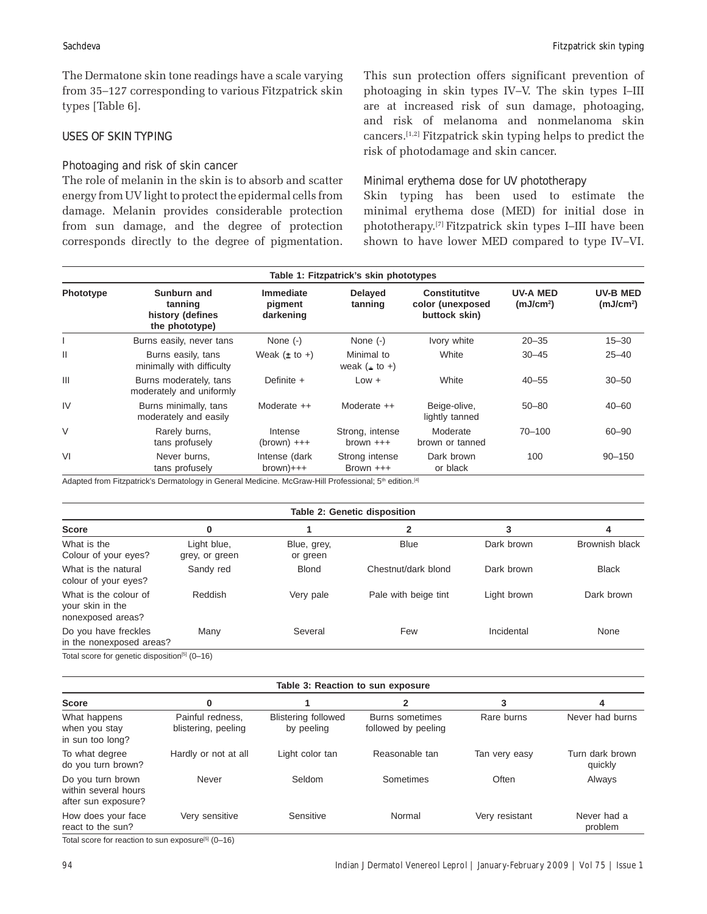The Dermatone skin tone readings have a scale varying from 35–127 corresponding to various Fitzpatrick skin types [Table 6].

# **USES OF SKIN TYPING**

# Photoaging and risk of skin cancer

The role of melanin in the skin is to absorb and scatter energy from UV light to protect the epidermal cells from damage. Melanin provides considerable protection from sun damage, and the degree of protection corresponds directly to the degree of pigmentation. This sun protection offers significant prevention of photoaging in skin types IV–V. The skin types I–III are at increased risk of sun damage, photoaging, and risk of melanoma and nonmelanoma skin cancers.[1,2] Fitzpatrick skin typing helps to predict the risk of photodamage and skin cancer.

#### Minimal erythema dose for UV phototherapy

Skin typing has been used to estimate the minimal erythema dose (MED) for initial dose in phototherapy.<sup>[7]</sup> Fitzpatrick skin types I-III have been shown to have lower MED compared to type IV-VI.

| Table 1: Fitzpatrick's skin phototypes |                                                              |                                   |                                    |                                                           |                                          |                                   |
|----------------------------------------|--------------------------------------------------------------|-----------------------------------|------------------------------------|-----------------------------------------------------------|------------------------------------------|-----------------------------------|
| Phototype                              | Sunburn and<br>tanning<br>history (defines<br>the phototype) | Immediate<br>pigment<br>darkening | <b>Delayed</b><br>tanning          | <b>Constitutitve</b><br>color (unexposed<br>buttock skin) | <b>UV-A MED</b><br>(mJ/cm <sup>2</sup> ) | UV-B MED<br>(mJ/cm <sup>2</sup> ) |
|                                        | Burns easily, never tans                                     | None $(-)$                        | None $(-)$                         | Ivory white                                               | $20 - 35$                                | $15 - 30$                         |
| $\mathsf{II}$                          | Burns easily, tans<br>minimally with difficulty              | Weak $(\pm$ to +)                 | Minimal to<br>weak $($ $\pm$ to +) | White                                                     | $30 - 45$                                | $25 - 40$                         |
| Ш                                      | Burns moderately, tans<br>moderately and uniformly           | Definite $+$                      | $Low +$                            | White                                                     | $40 - 55$                                | $30 - 50$                         |
| IV                                     | Burns minimally, tans<br>moderately and easily               | Moderate $++$                     | Moderate $++$                      | Beige-olive,<br>lightly tanned                            | $50 - 80$                                | $40 - 60$                         |
| V                                      | Rarely burns,<br>tans profusely                              | Intense<br>$(brown)$ +++          | Strong, intense<br>$brown +++$     | Moderate<br>brown or tanned                               | $70 - 100$                               | $60 - 90$                         |
| VI                                     | Never burns.<br>tans profusely                               | Intense (dark<br>$brown)+++$      | Strong intense<br>Brown $++$       | Dark brown<br>or black                                    | 100                                      | $90 - 150$                        |

Adapted from Fitzpatrick's Dermatology in General Medicine. McGraw-Hill Professional; 5<sup>th</sup> edition.<sup>[4]</sup>

|                                                                | Table 2: Genetic disposition  |                         |                      |             |                       |
|----------------------------------------------------------------|-------------------------------|-------------------------|----------------------|-------------|-----------------------|
| <b>Score</b>                                                   | 0                             |                         | 2                    | 3           | 4                     |
| What is the<br>Colour of your eyes?                            | Light blue,<br>grey, or green | Blue, grey,<br>or green | <b>Blue</b>          | Dark brown  | <b>Brownish black</b> |
| What is the natural<br>colour of your eyes?                    | Sandy red                     | <b>Blond</b>            | Chestnut/dark blond  | Dark brown  | <b>Black</b>          |
| What is the colour of<br>your skin in the<br>nonexposed areas? | Reddish                       | Very pale               | Pale with beige tint | Light brown | Dark brown            |
| Do you have freckles<br>in the nonexposed areas?               | Many                          | Several                 | Few                  | Incidental  | None                  |
| Total score for genetic disposition <sup>[5]</sup> (0-16)      |                               |                         |                      |             |                       |

| Table 3: Reaction to sun exposure                                |                                         |                                          |                                        |                |                            |
|------------------------------------------------------------------|-----------------------------------------|------------------------------------------|----------------------------------------|----------------|----------------------------|
| <b>Score</b>                                                     | 0                                       |                                          | 2                                      | 3              | 4                          |
| What happens<br>when you stay<br>in sun too long?                | Painful redness.<br>blistering, peeling | <b>Blistering followed</b><br>by peeling | Burns sometimes<br>followed by peeling | Rare burns     | Never had burns            |
| To what degree<br>do you turn brown?                             | Hardly or not at all                    | Light color tan                          | Reasonable tan                         | Tan very easy  | Turn dark brown<br>quickly |
| Do you turn brown<br>within several hours<br>after sun exposure? | Never                                   | Seldom                                   | Sometimes                              | Often          | Always                     |
| How does your face<br>react to the sun?                          | Very sensitive                          | Sensitive                                | Normal                                 | Very resistant | Never had a<br>problem     |

Total score for reaction to sun exposure<sup>[5]</sup> (0-16)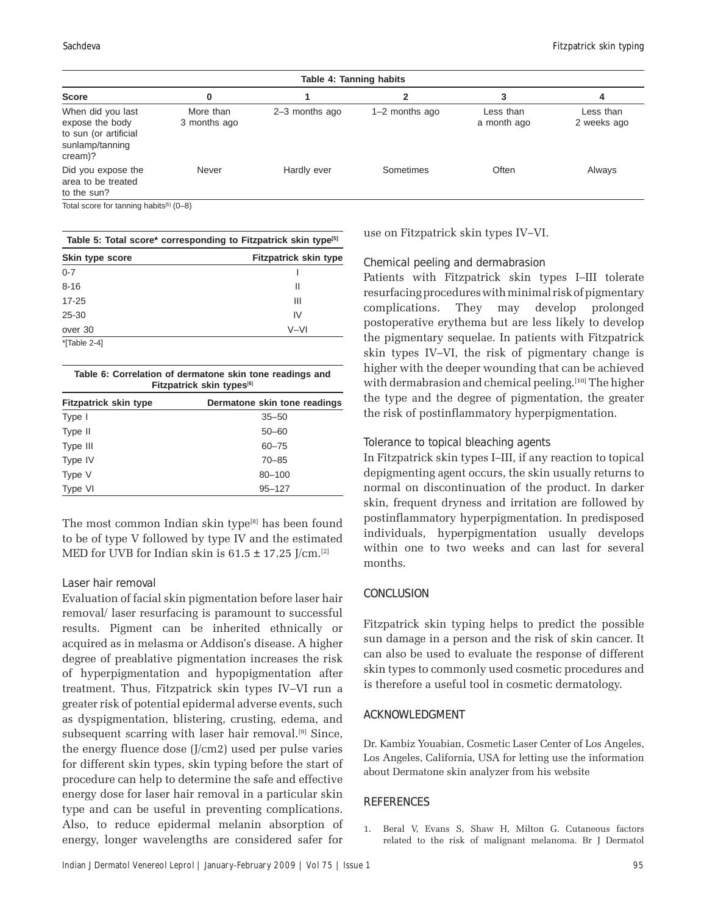| Table 4: Tanning habits                                                                     |                           |                |                  |                          |                          |
|---------------------------------------------------------------------------------------------|---------------------------|----------------|------------------|--------------------------|--------------------------|
| <b>Score</b>                                                                                | 0                         |                |                  |                          |                          |
| When did you last<br>expose the body<br>to sun (or artificial<br>sunlamp/tanning<br>cream)? | More than<br>3 months ago | 2-3 months ago | $1-2$ months ago | Less than<br>a month ago | Less than<br>2 weeks ago |
| Did you expose the<br>area to be treated<br>to the sun?                                     | Never                     | Hardly ever    | Sometimes        | Often                    | Always                   |

Total score for tanning habits[5] (0-8)

| Table 5: Total score* corresponding to Fitzpatrick skin type <sup>[5]</sup> |                              |  |  |
|-----------------------------------------------------------------------------|------------------------------|--|--|
| Skin type score                                                             | <b>Fitzpatrick skin type</b> |  |  |
| $0 - 7$                                                                     |                              |  |  |
| $8 - 16$                                                                    | Ш                            |  |  |
| $17 - 25$                                                                   | Ш                            |  |  |
| 25-30                                                                       | IV                           |  |  |
| over 30                                                                     | V-VI                         |  |  |
| *[Table 2-4]                                                                |                              |  |  |

| Table 6: Correlation of dermatone skin tone readings and |  |
|----------------------------------------------------------|--|
| Fitzpatrick skin types <sup>[6]</sup>                    |  |

| <b>Fitzpatrick skin type</b> | Dermatone skin tone readings |
|------------------------------|------------------------------|
| Type I                       | $35 - 50$                    |
| Type II                      | $50 - 60$                    |
| Type III                     | $60 - 75$                    |
| Type IV                      | $70 - 85$                    |
| Type V                       | 80-100                       |
| Type VI                      | $95 - 127$                   |

The most common Indian skin type $[8]$  has been found to be of type V followed by type IV and the estimated MED for UVB for Indian skin is  $61.5 \pm 17.25$  J/cm.<sup>[2]</sup>

#### Laser hair removal

Evaluation of facial skin pigmentation before laser hair removal/ laser resurfacing is paramount to successful results. Pigment can be inherited ethnically or acquired as in melasma or Addison's disease. A higher degree of preablative pigmentation increases the risk of hyperpigmentation and hypopigmentation after treatment. Thus, Fitzpatrick skin types IV-VI run a greater risk of potential epidermal adverse events, such as dyspigmentation, blistering, crusting, edema, and subsequent scarring with laser hair removal.<sup>[9]</sup> Since, the energy fluence dose (J/cm2) used per pulse varies for different skin types, skin typing before the start of procedure can help to determine the safe and effective energy dose for laser hair removal in a particular skin type and can be useful in preventing complications. Also, to reduce epidermal melanin absorption of energy, longer wavelengths are considered safer for

use on Fitzpatrick skin types IV-VI.

#### Chemical peeling and dermabrasion

Patients with Fitzpatrick skin types I-III tolerate resurfacing procedures with minimal risk of pigmentary complications. They may develop prolonged postoperative erythema but are less likely to develop the pigmentary sequelae. In patients with Fitzpatrick skin types IV–VI, the risk of pigmentary change is higher with the deeper wounding that can be achieved with dermabrasion and chemical peeling.<sup>[10]</sup> The higher the type and the degree of pigmentation, the greater the risk of postinflammatory hyperpigmentation.

### Tolerance to topical bleaching agents

In Fitzpatrick skin types I-III, if any reaction to topical depigmenting agent occurs, the skin usually returns to normal on discontinuation of the product. In darker skin, frequent dryness and irritation are followed by postinflammatory hyperpigmentation. In predisposed individuals, hyperpigmentation usually develops within one to two weeks and can last for several months.

# **CONCLUSION**

Fitzpatrick skin typing helps to predict the possible sun damage in a person and the risk of skin cancer. It can also be used to evaluate the response of different skin types to commonly used cosmetic procedures and is therefore a useful tool in cosmetic dermatology.

# **ACKNOWLEDGMENT**

Dr. Kambiz Youabian, Cosmetic Laser Center of Los Angeles, Los Angeles, California, USA for letting use the information about Dermatone skin analyzer from his website

#### **REFERENCES**

1. Beral V, Evans S, Shaw H, Milton G. Cutaneous factors related to the risk of malignant melanoma. Br J Dermatol